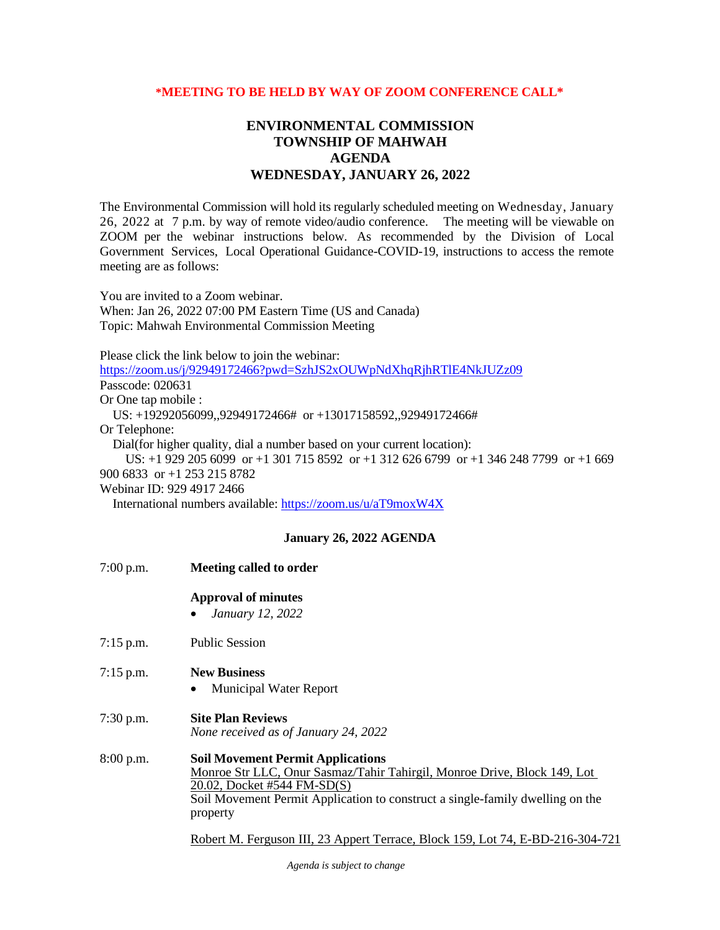## **\*MEETING TO BE HELD BY WAY OF ZOOM CONFERENCE CALL\***

## **ENVIRONMENTAL COMMISSION TOWNSHIP OF MAHWAH AGENDA WEDNESDAY, JANUARY 26, 2022**

The Environmental Commission will hold its regularly scheduled meeting on Wednesday, January 26, 2022 at 7 p.m. by way of remote video/audio conference. The meeting will be viewable on ZOOM per the webinar instructions below. As recommended by the Division of Local Government Services, Local Operational Guidance-COVID-19, instructions to access the remote meeting are as follows:

You are invited to a Zoom webinar. When: Jan 26, 2022 07:00 PM Eastern Time (US and Canada) Topic: Mahwah Environmental Commission Meeting

Please click the link below to join the webinar:

<https://zoom.us/j/92949172466?pwd=SzhJS2xOUWpNdXhqRjhRTlE4NkJUZz09>

Passcode: 020631

Or One tap mobile :

US: +19292056099,,92949172466# or +13017158592,,92949172466#

Or Telephone:

Dial(for higher quality, dial a number based on your current location):

 US: +1 929 205 6099 or +1 301 715 8592 or +1 312 626 6799 or +1 346 248 7799 or +1 669 900 6833 or +1 253 215 8782

Webinar ID: 929 4917 2466

International numbers available:<https://zoom.us/u/aT9moxW4X>

## **January 26, 2022 AGENDA**

7:00 p.m. **Meeting called to order Approval of minutes** • *January 12, 2022* 7:15 p.m. Public Session 7:15 p.m. **New Business** • Municipal Water Report 7:30 p.m. **Site Plan Reviews** *None received as of January 24, 2022* 8:00 p.m. **Soil Movement Permit Applications** Monroe Str LLC, Onur Sasmaz/Tahir Tahirgil, Monroe Drive, Block 149, Lot 20.02, Docket #544 FM-SD(S) Soil Movement Permit Application to construct a single-family dwelling on the property Robert M. Ferguson III, 23 Appert Terrace, Block 159, Lot 74, E-BD-216-304-721